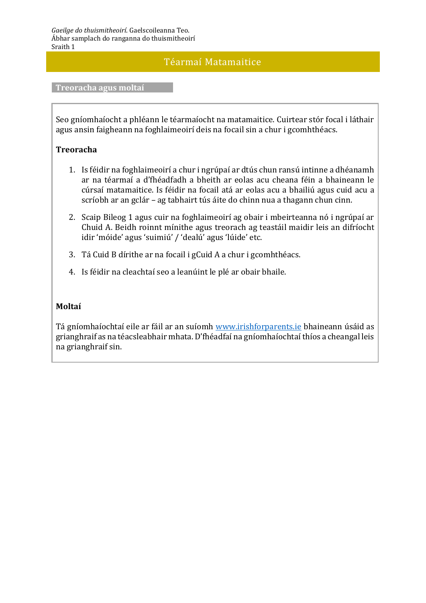## Téarmaí Matamaitice

#### **Treoracha agus moltaí**

Seo gníomhaíocht a phléann le téarmaíocht na matamaitice. Cuirtear stór focal i láthair agus ansin faigheann na foghlaimeoirí deis na focail sin a chur i gcomhthéacs.

#### **Treoracha**

- 1. Is féidir na foghlaimeoirí a chur i ngrúpaí ar dtús chun ransú intinne a dhéanamh ar na téarmaí a d'fhéadfadh a bheith ar eolas acu cheana féin a bhaineann le cúrsaí matamaitice. Is féidir na focail atá ar eolas acu a bhailiú agus cuid acu a scríobh ar an gclár – ag tabhairt tús áite do chinn nua a thagann chun cinn.
- 2. Scaip Bileog 1 agus cuir na foghlaimeoirí ag obair i mbeirteanna nó i ngrúpaí ar Chuid A. Beidh roinnt mínithe agus treorach ag teastáil maidir leis an difríocht idir 'móide' agus 'suimiú' / 'dealú' agus 'lúide' etc.
- 3. Tá Cuid B dírithe ar na focail i gCuid A a chur i gcomhthéacs.
- 4. Is féidir na cleachtaí seo a leanúint le plé ar obair bhaile.

#### **Moltaí**

Tá gníomhaíochtaí eile ar fáil ar an suíomh [www.irishforparents.ie](http://www.irishforparents.ie/) bhaineann úsáid as grianghraif as na téacsleabhair mhata. D'fhéadfaí na gníomhaíochtaí thíos a cheangal leis na grianghraif sin.